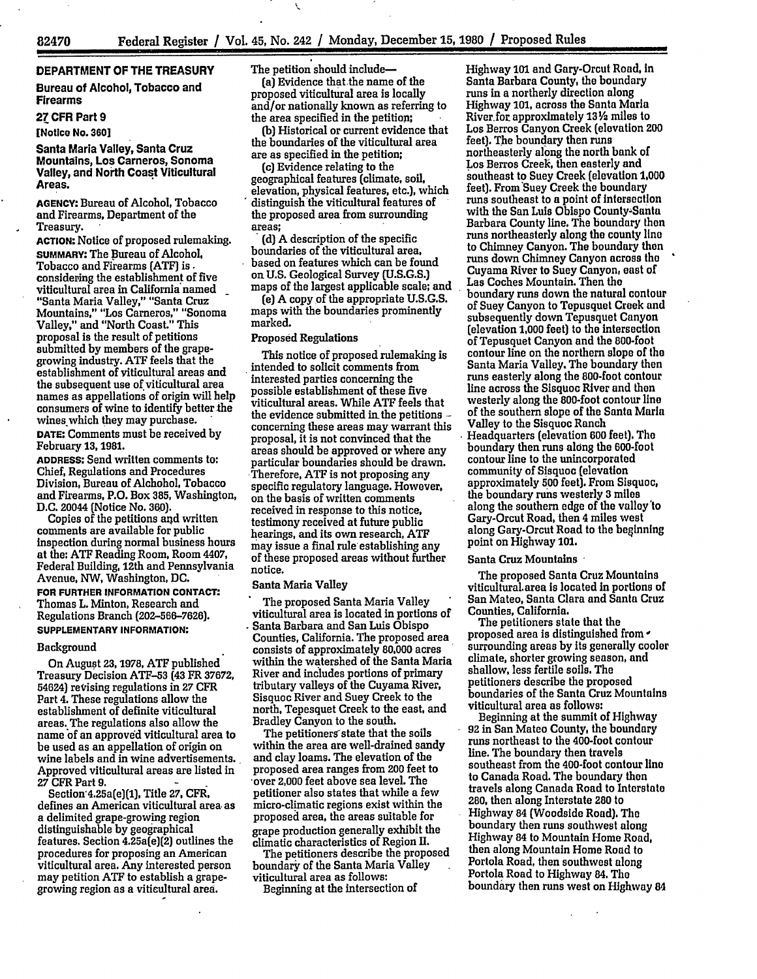-- Ill'

# DEPARTMENT OF THE TREASURY

Bureau of Alcohol, Tobacco and Firearms

## **27** CFR Part **9**

[Notice No. **360]**

Santa Maria Valley, Santa Cruz Mountains, Los Carneros, Sonoma Valley, and North Coast Viticultural Areas.

**AGENCY:** Bureau of Alcohol, Tobacco and Firearms, Department of the Treasury.

**ACTION:** Notice of proposed rulemaking. SUMMARY: The Bureau of Alcohol, Tobacco and Firearms **(ATF) is.** considering the establishment of five viticultural area in California named "Santa Maria Valley," "Santa Cruz Mountains," "Los Carneros," "Sonoma Valley," and "North Coast." This proposal is the result of petitions submitted **by** members of the grapegrowing industry. **ATE** feels that the establishment of viticultural areas and the subsequent use of viticultural area names as appellations of origin will help consumers of wine to identify better the wines which they may purchase. **DATE:** Comments must be received by February **13,** 1981.

**ADDRESS:** Send written comments to: Chief, Regulations and Procedures Division, Bureau of Alchohol, Tobacco and Firearms, P.O. Box **385,** Washington, **D.C.** 20044 (Notice No. **360).**

Copies of the petitions and written comments are available for public inspection during normal business hours at the: ATE Reading Room, Room 4407, Federal Building, 12th and Pennsylvania Avenue, **NW,** Washington, **DC. FOR FURTHER INFORMATION CONTACT:** Thomas **L.** Minton, Research and Regulations Branch (202-566-7626]. **SUPPLEMENTARY INFORMATION:**

#### Background

On August **23, 1978, ATE** published Treasury Decision **ATF-53** (43 FR **37672,** 54624) revising regulations in **27 CFR** Part 4. These regulations allow the establishment of definite viticultural areas. The regulations also allow the name of an approved viticultural area to be used as an appellation of origin on wine labels and in wine advertisements. Approved viticultural areas are listed in **27** CFR Part **9. -**

Section'4.25a(e)(1], Title **27,** CFR, defines an American viticultural area as a delimited grape-growing region distinguishable by geographical features. Section 4.25a(e)(2) outlines the procedures for proposing an American viticultural area. Any interested person may petition **ATE** to establish a grapegrowing region as a viticultural area.

The petition should include-

(a) Evidence that the name of the proposed viticultural area is locally and/or nationally **known** as referring to the area specified in the petition;

**(b)** Historical or current evidence that the boundaries of the viticultural area are as specified in the petition;

(c) Evidence relating to the geographical features (climate, soil, elevation, physical features, etc.), which distinguish the viticultural features of the proposed area from surrounding areas;

**(d) A** description of the specific boundaries of the viticultural area, based on features which can be found on **U.S.** Geological Survey **(U.S.G.S.)** maps of the largest applicable scale; and

(e) **A** copy of the appropriate **U.S.G.S.** maps with the boundaries prominently marked.

## Proposed Regulations

This notice of proposed rulemaking is intended to solicit comments from interested parties concerning the possible establishment of these five viticultural areas. While **ATF** feels that the evidence submitted in. the petitions  concerning these areas may warrant this proposal, it is not convinced that the areas should be approved or where any particular boundaries should be drawn. 'Therefore, ATE is not proposing any specific regulatory language. However, on the basis of written comments received in response to this notice, testimony received at future public hearings, and its own research, ATE may issue a final rule establishing any of these proposed areas without further notice.

### Santa Maria Valley

The proposed Santa Maria Valley viticultural area is located in portions of Santa Barbara and San Luis Obispo Counties, California. The proposed area consists of approximately **80,000** acres within the watershed of the Santa Maria River and includes portions of primary tributary valleys of the Cuyama River, Sisquoc River and Suey Creek to the north, Tepesquet Creek to the east, and Bradley Canyon to the south.

The petitioners'state that the soils within the area are well-drained sandy and clay loams. The elevation of the proposed area ranges from 200 feet to over 2,000 feet above sea level. The petitioner also states that while a few micro-climatic regions exist within the proposed area, the areas suitable for grape production generally exhibit the climatic characteristics of Region II.

The petitioners describe the proposed boundary of the Santa Maria Valley viticultural area as follows:

Beginning at the intersection of

Highway **101** and Gary-Orcut Road, in Santa Barbara County, the boundary runs in a northerly direction along Highway **101,** across the Santa Maria River. **for** approximately **13V2** miles to Los Berros Canyon Creek (elevation 200 feet). The boundary then runs northeasterly along the north bank of Los Berros Creek, then easterly and southeast to Suey Creek (elevation **1,000** feet). From Suey Creek the boundary runs southeast to a point of Intersection with the San Luis Obispo County-Santa Barbara County line. The boundary then runs northeasterly along the county line to Chimney Canyon. The boundary then runs down Chimney Canyon across the Cuyama River to Suey Canyon, east of Las Coches Mountain. Then the boundary runs down the natural contour of Suey Canyon to Tepusquet Creek and subsequently down Tepusquet Canyon (elevation **1,000** feet) to the intersection of Tepusquet Canyon and the 800-foot contour line on the northern slope of the Santa Maria Valley. The boundary then runs easterly along the 800-foot contour line across the Sisquoc River and then westerly along the 800-foot contour line of the southern slope of the Santa Maria Valley to the Sisquoc Ranch Headquarters (elevation **600** feet). The boundary then runs along the 600-foot contour line to the unincorporated community of Sisquoc (elevation approximately **500** feet), From Sisquoc, the boundary runs westerly **3** miles along the southern edge of the valley **'to** Gary-Orcut Road, then 4 miles west along Gary-Orcut Road to the beginning point on Highway **101.**

### Santa Cruz Mountains

The proposed Santa Cruz Mountains viticultural, area is located in portions of San Mateo, Santa Clara and Santa Cruz Counties, California.

The petitioners state that the proposed area is distinguished from surrounding areas **by** Its generally cooler climate, shorter growing season, and shallow, less fertile soils. The petitioners describe the proposed boundaries of the Santa Cruz Mountains viticultural area as follows:

Beginning at the summit of Highway 92 in San Mateo County, the boundary runs northeast to the 400-foot contour line. The boundary then travels southeast from the 400-foot contour line to Canada Road. The boundary then travels along Canada Road to Interstate **280,** then along Interstate 280 to Highway 84 (Woodside Road). The boundary then runs southwest along Highway 84 to Mountain Home Road, then along Mountain Home Road to Portola Road, then southwest along Portola Road to Highway 84. The boundary then runs west on Highway 84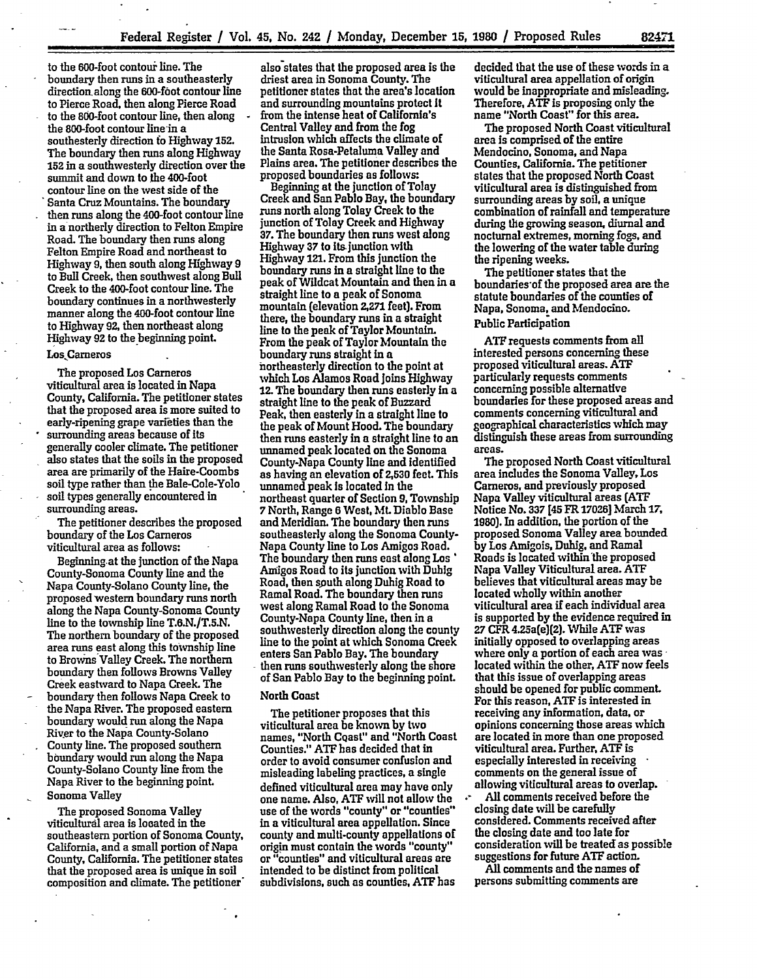to the 600-foot contour line. The boundary then runs in a southeasterly direction along the 600-foot contour line to Pierce Road, then along Pierce Road to the 800-foot contour line, then along the 800-foot contour line-in a southesterly direction **fo** Highway **152.** The boundary then runs along Highway **152** in a southwesterly direction over the summit and down to the 400-foot contour line on the west side of the 'Santa Cruz Mountains. The boundary then runs along the 400-foot contour line in a northerly direction to Felton Empire Road. The boundary then runs along Felton Empire Road and northeast to Highway **9,** then south along Highway **9** to Bull Creek, then southwest along Bull Creek to the 400-foot contour line. The boundary continues in a northwesterly manner along the 400-foot contour line to Highway **92,** then northeast along Highway **92** to the-beginning point.

# Los.Cameros

The proposed Los Carneros viticultural area is located in Napa County, California. The petitioner states that the proposed area is more suited to early-ripening grape varieties than the surrounding areas because of its generally cooler climate. The petitioner also states that the soils in the proposed area are primarily of the Haire-Coombs soil type rather than the Bale-Cole-Yolo soil types generally encountered in surrounding areas.

The petitioner describes the proposed boundary of the Los Carneros viticultural area as follows:

Beginning.at the junction of the Napa County-Sonoma County line and the Napa County-Solano County line, the proposed western boundary runs north along the Napa County-Sonoma County line to the township line **T.6.N./T.5.N.** The northern boundary of the proposed area runs east along this township line to Browns Valley Creek. The northern boundary then follows Browns Valley Creek eastward to Napa Creek. The boundary then follows Napa Creek to the Napa River. The proposed eastern boundary would run along the Napa River to the Napa County-Solano County line. The proposed southern boundary would run along the Napa County-Solano County line from the Napa River to the beginning point. Sonoma Valley

The proposed Sonoma Valley viticulturdl area is located in the southeastern portion of Sonoma County, California, and a small portion of Napa County, California. The petitioner states that the proposed area is unique in soil composition and climate. The petitioner' also states that the proposed area is the driest area in Sonoma County. The petitioner states that the area's location and surrounding mountains protect It from the intense heat of California's Central Valley and from the fog intrusion which affects the climate of the Santa Rosa-Petaluma Valley and Plains area. The petitioner describes the proposed boundaries as follows:

Beginning at the junction of Tolay Creek and San Pablo Bay, the boundary runs north along Tolay Creek to the junction of Tolay Creek and Highway **37.** The boundary then runs west along Highway **37** to its junction with Highway **121.** From this junction the boundary runs in a straight line to the peak of Wildcat Mountain and then in a straight line to a peak of Sonoma mountain (elevation **2,271** feet). From there, the boundary runs in a straight line to the peak of Taylor Mountain. From the peak of Taylor Mountain the boundary runs straight in a northeasterly direction to the point at which Los Alamos Road joins Highway 12. **The** boundary then runs easterly in a straight line to the peak of Buzzard Peak, then easterly in a straight line to the peak of Mount Hood. The boundary then runs easterly in a straight line to an unnamed peak located on the Sonoma County-Napa County line and identified as having an elevation of **2,530** feet. **This** unnamed peak Is located In the northeast quarter of Section **9,** Township **7** North, Range **6** West, **ML** Diablo Base and Meridian. The boundary then runs southeasterly along the Sonoma County-Napa County line to Los Amigos Road. The boundary then runs east along Los Anigos Road to its junction with Duhig Road, then south along Duhig Road to Ramal Road. The boundary then runs west along Ramal Road to the Sonoma County-Napa County line, then in a southwesterly direction along the county line to the point at which Sonoma Creek enters San Pablo Bay. The boundary then runs southwesterly along the shore of San Pablo Bay to the beginning point.

### **North Coast**

The petitioner proposes that this viticultural area be known **by** two names, "North Coast" and "North Coast Counties." **ATF** has decided that in order **to** avoid consumer confusion and misleading labeling practices, a single defined viticultural area may have only one name. Also, **ATF** will not allow the use **of** the words "county" or "counties" in a viticultural area appellation. Since county and multi-county appellations of origin must contain the words "county" or "counties" and viticultural areas are intended to be distinct from political subdivisions, such as counties, **ATF** has

decided that the use of these words in a viticultural area appellation of origin would be Inappropriate and misleading. Therefore, **ATF** is proposing only the name "North Coast" for this area.

The proposed North Coast viticultural area is comprised of the entire Mendocino, Sonoma, and Napa Counties, California. The petitioner states that the proposed North Coast viticultural area is distinguished from surrounding areas **by soil,** a unique combination of rainfall and temperature during the growing season, diurnal and nocturnal extremes, morning fogs, and the lowering of the water table during the ripening weeks.

The petitioner states that the boundaries-of the proposed area are the statute boundaries of the counties of Napa, Sonoma, and Mendocino. Public Participation

**ATF** requests comments from all interested persons concerning these proposed viticultural areas. **ATF** particularly requests comments concerning possible alternative boundaries for these proposed areas and comments concerning viticultural and geographical characteristics which may distinguish these areas from surrounding areas.

The proposed North Coast viticultural area includes the Sonoma Valley, Los Carneros, and previously proposed Napa Valley viticultural areas **(ATF** Notice No. **337 [45** FR **17026]** March **17, 1980).** In addition, the portion of the proposed Sonoma Valley area bounded **by** Los Amigois, Duhig, and Ramal Roads is located within the proposed Napa Valley Viticultural area. **ATF** believes that viticultural areas maybe located wholly within another viticultural area if each individual area is supported **by** the evidence required in **27** CFR 4.25a(e)(2]. While **ATF** was initially opposed to overlapping areas where only a portion of each area was located within the other, **ATF** now feels that this issue of overlapping areas should be opened for public comment. For this reason, **ATF** is interested in receiving any information, data, or opinions concerning those areas which are located in more than one proposed viticultural area. Further, **ATF** is especially interested in receiving comments on the general issue **of** allowing viticultural areas to overlap.

**All** comments received before the closing date will be carefully considered. Comments received after the closing date and too late for consideration will be treated as possible suggestions for future **ATF** action.

**All** comments and the names of persons submitting comments are